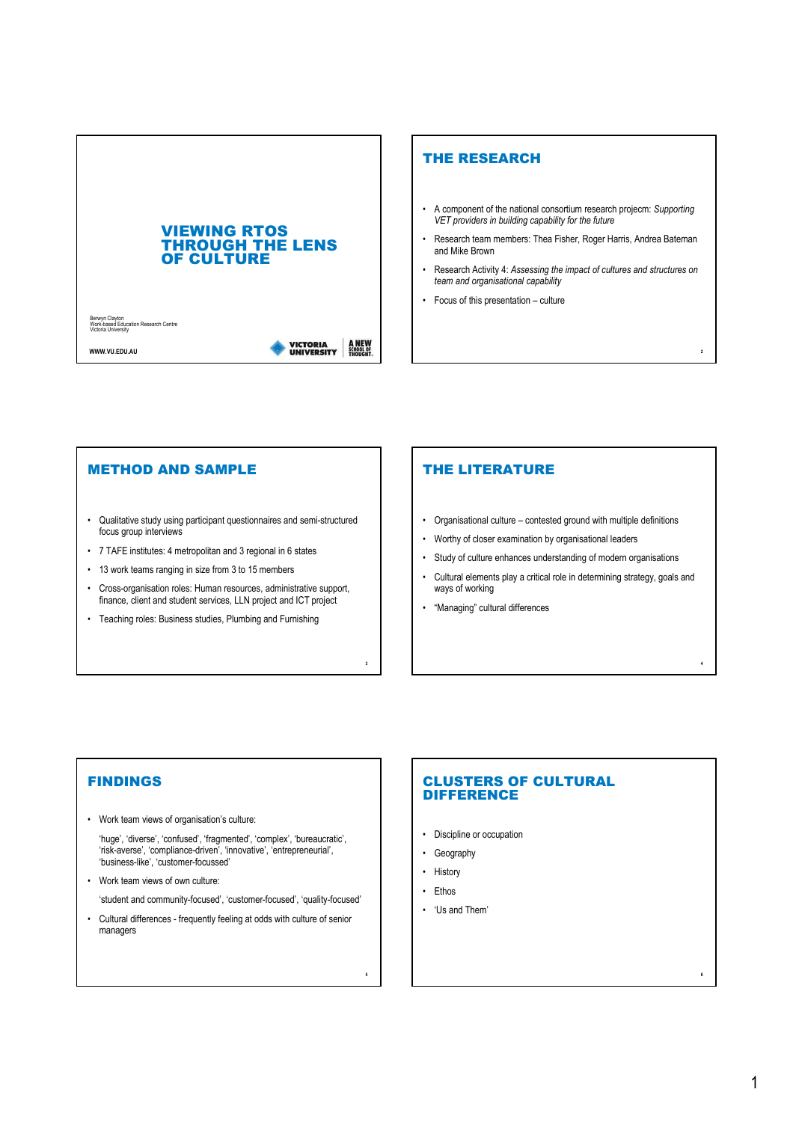

### THE RESEARCH

- A component of the national consortium research projecm: Supporting VET providers in building capability for the future
- Research team members: Thea Fisher, Roger Harris, Andrea Bateman and Mike Brown
- Research Activity 4: Assessing the impact of cultures and structures on team and organisational capability

2

4

6

• Focus of this presentation – culture

#### METHOD AND SAMPLE

- Qualitative study using participant questionnaires and semi-structured focus group interviews
- 7 TAFE institutes: 4 metropolitan and 3 regional in 6 states
- 13 work teams ranging in size from 3 to 15 members
- Cross-organisation roles: Human resources, administrative support, finance, client and student services, LLN project and ICT project
- Teaching roles: Business studies, Plumbing and Furnishing

## THE LITERATURE

- Organisational culture contested ground with multiple definitions
- Worthy of closer examination by organisational leaders
- Study of culture enhances understanding of modern organisations
- Cultural elements play a critical role in determining strategy, goals and ways of working
- "Managing" cultural differences

### FINDINGS

- Work team views of organisation's culture:
	- 'huge', 'diverse', 'confused', 'fragmented', 'complex', 'bureaucratic', 'risk-averse', 'compliance-driven', 'innovative', 'entrepreneurial', 'business-like', 'customer-focussed'
- Work team views of own culture:

'student and community-focused', 'customer-focused', 'quality-focused'

• Cultural differences - frequently feeling at odds with culture of senior managers

#### CLUSTERS OF CULTURAL **DIFFERENCE**

- Discipline or occupation
- Geography
- History

3

5

- Ethos
- 'Us and Them'